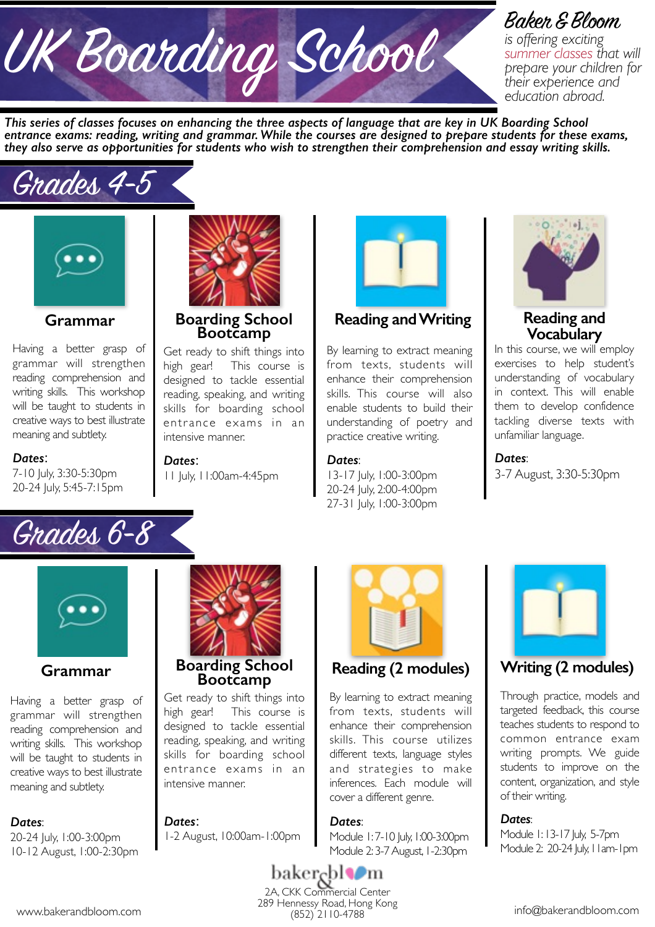# UK Boarding School Baker & Bloom

*is offering exciting summer classes that will prepare your children for their experience and education abroad.* 

*This series of classes focuses on enhancing the three aspects of language that are key in UK Boarding School entrance exams: reading, writing and grammar. While the courses are designed to prepare students for these exams, they also serve as opportunities for students who wish to strengthen their comprehension and essay writing skills.* 

## Grades 4-5



**Grammar** 

Having a better grasp of grammar will strengthen reading comprehension and writing skills. This workshop will be taught to students in creative ways to best illustrate meaning and subtlety.

#### *Dates*:

7-10 July, 3:30-5:30pm 20-24 July, 5:45-7:15pm



**Boarding School Bootcamp**

Get ready to shift things into high gear! This course is designed to tackle essential reading, speaking, and writing skills for boarding school entrance exams in an intensive manner.

*Dates*: 11 July, 11:00am-4:45pm



By learning to extract meaning from texts, students will enhance their comprehension skills. This course will also enable students to build their understanding of poetry and practice creative writing.

#### *Dates*:

13-17 July, 1:00-3:00pm 20-24 July, 2:00-4:00pm 27-31 July, 1:00-3:00pm



**Reading and Vocabulary** 

In this course, we will employ exercises to help student's understanding of vocabulary in context. This will enable them to develop confidence tackling diverse texts with unfamiliar language.

*Dates*: 3-7 August, 3:30-5:30pm





#### **Grammar**

Having a better grasp of grammar will strengthen reading comprehension and writing skills. This workshop will be taught to students in creative ways to best illustrate meaning and subtlety.

#### *Dates*:

20-24 July, 1:00-3:00pm 10-12 August, 1:00-2:30pm



### **Boarding School Bootcamp**

Get ready to shift things into high gear! This course is designed to tackle essential reading, speaking, and writing skills for boarding school entrance exams in an intensive manner.

#### *Dates*:

1-2 August, 10:00am-1:00pm



#### **Reading (2 modules)**

By learning to extract meaning from texts, students will enhance their comprehension skills. This course utilizes different texts, language styles and strategies to make inferences. Each module will cover a different genre.

#### *Dates*:

Module 1:7-10 July, 1:00-3:00pm Module 2: 3-7 August, 1-2:30pm



#### **Writing (2 modules)**

Through practice, models and targeted feedback, this course teaches students to respond to common entrance exam writing prompts. We guide students to improve on the content, organization, and style of their writing.

#### *Dates*:

Module 1: 13-17 July, 5-7pm Module 2: 20-24 July, 11am-1pm

baker<sub>ξ</sub>bl¶m 2A, CKK Commercial Center 289 Hennessy Road, Hong Kong<br>(852) 2110-4788 www.bakerandbloom.com info@bakerandbloom.com info@bakerandbloom.com info@bakerandbloom.com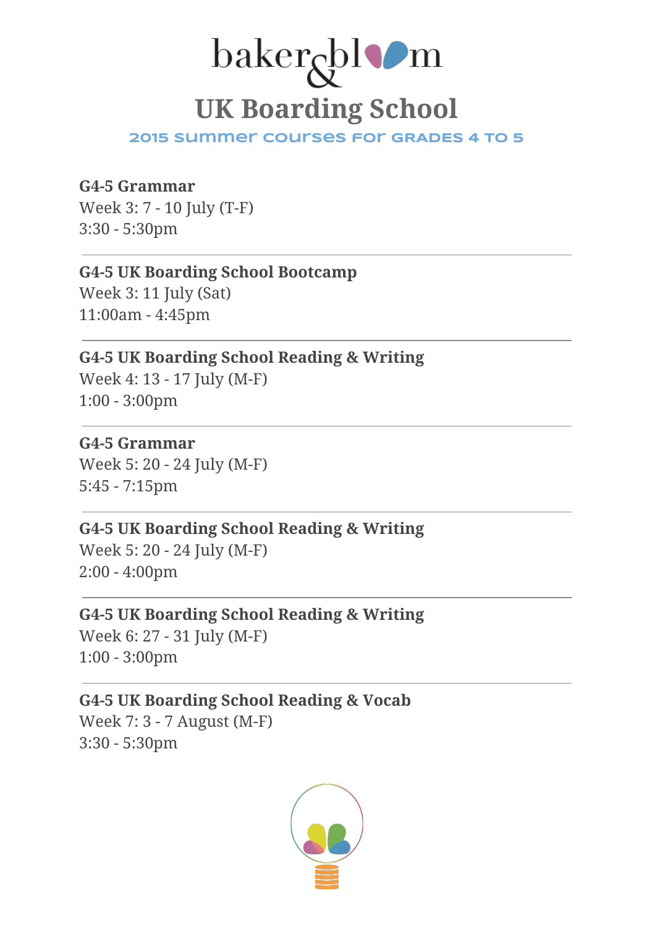## baker<sub>gbl</sub>om UK Boarding School

2015 Summer Courses for GRADES 4 to 5

#### G4-5 Grammar

Week 3: 7 - 10 July (T-F) 3:30 - 5:30pm

#### G4-5 UK Boarding School Bootcamp

Week 3: 11 July (Sat) 11:00am - 4:45pm

#### G4-5 UK Boarding School Reading & Writing Week 4: 13 - 17 July (M-F)

1:00 - 3:00pm

#### G4-5 Grammar

Week 5: 20 - 24 July (M-F) 5:45 - 7:15pm

#### G4-5 UK Boarding School Reading & Writing

Week 5: 20 - 24 July (M-F) 2:00 - 4:00pm

#### G4-5 UK Boarding School Reading & Writing Week 6: 27 - 31 July (M-F) 1:00 - 3:00pm

#### G4-5 UK Boarding School Reading & Vocab Week 7: 3 - 7 August (M-F) 3:30 - 5:30pm